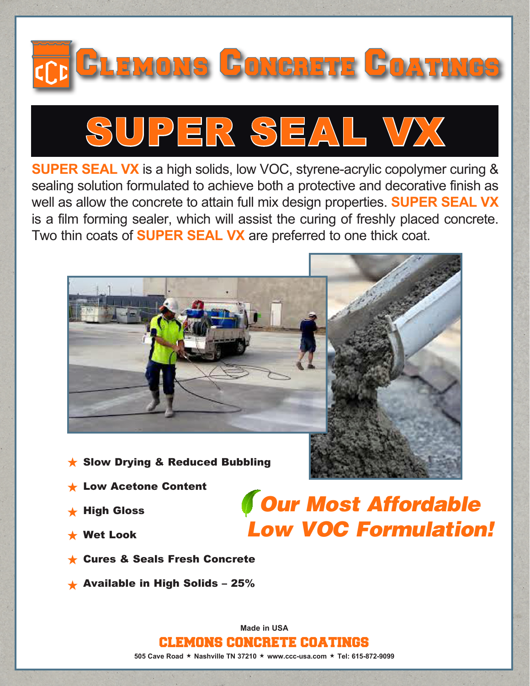



**SUPER SEAL VX** is a high solids, low VOC, styrene-acrylic copolymer curing & sealing solution formulated to achieve both a protective and decorative finish as well as allow the concrete to attain full mix design properties. **SUPER SEAL VX** is a film forming sealer, which will assist the curing of freshly placed concrete. Two thin coats of **SUPER SEAL VX** are preferred to one thick coat.



- $\star$  Slow Drying & Reduced Bubbling
- **Low Acetone Content**
- $\star$  High Gloss
- Wet Look
- **★ Cures & Seals Fresh Concrete**
- $\star$  Available in High Solids 25%

*Our Most Affordable Low VOC Formulation!*

**Made in USA** CLEMONS CONCRETE COATINGS **505 Cave Road ★ Nashville TN 37210 ★ www.ccc-usa.com ★ Tel: 615-872-9099**